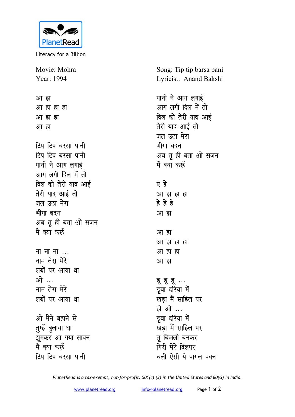

Literacy for a Billion

Movie: Mohra Year: 1994

<u>आ</u> हा <u>आ हा हा हा</u> <u>आ</u> हा हा <u>आ</u> हा *f***cu field** aven untime *<u>ftu</u> f*<sub>c</sub>u *d*<sub>*x*</sub> *d*<sub>*x*</sub> *d*<sub>*x*</sub> *d*<sub>*x*</sub> *d*<sub>*x*</sub> *d*<sub>*x*</sub> *d*<sub>*x*</sub> *d*<sub>*x*</sub> *d*<sub>*x*</sub> *d*<sub>*x*</sub> *d*<sub>*x*</sub> *d*<sub>*x*</sub> *d*<sub>*x*</sub> *d*<sub>*x*</sub> *d*<sub>*x*</sub> *d*<sub>*x*</sub> *d*<sub>*x*</sub> *d*<sub>*x*</sub> *d*<sub>*x*</sub> *d*<sub>*x*</sub> *d*<sub>*x*</sub> *d*<sub>*x*</sub> *d*<sub>*</sub>* पानी ने आग लगाई आग लगी दिल में तो दिल को तेरी याद आ**ई तेरी** याद आई तो जल उठा मेरा भीगा बटन अब तू ही बता ओ सजन <u>मैं क्या करूँ</u> **H H H H H H H H माम तेरा मेरे** 

**लबों पर आया था** <u>ओे</u> **नाम तेरा मेरे** लबों पर आया था

ओ मैंने बहाने से तुम्हें बुलाया था झुमकर आ गया सावन <u>मैं क्या करूँ</u> *<u>ftu</u>* **दिप बरसा पानी** 

Song: Tip tip barsa pani Lyricist: Anand Bakshi

पानी ने आग लगाई आग लगी दिल में तो दिल को तेरी याद आई **तेरी याद आई तो** जल उठा मेरा भीगा बदन अब तू ही बता ओ सजन मैं क्या<sup>ं</sup> करूँ **, gs** <u>आ</u> हा हा हा **gs gs gs** <u>आ</u> हा आ ह<mark>ा</mark> <u>आ हा हा हा</u> <u>आ</u> हा हा <u>आ</u> हा ह **ड्र** इ... <u>डू</u>बा दरिया में **खड़ा मैं साहिल पर हो** ओ ... <u>डू</u>बा दरिया में

<u>संदेश में साहिल पर</u> **तू** बिजली बनकर **गिरी मेरे दिलपर** चली ऐसी ये पागल पवन

*PlanetRead is a tax-exempt, not-for-profit: 501(c) (3) in the United States and 80(G) in India.*